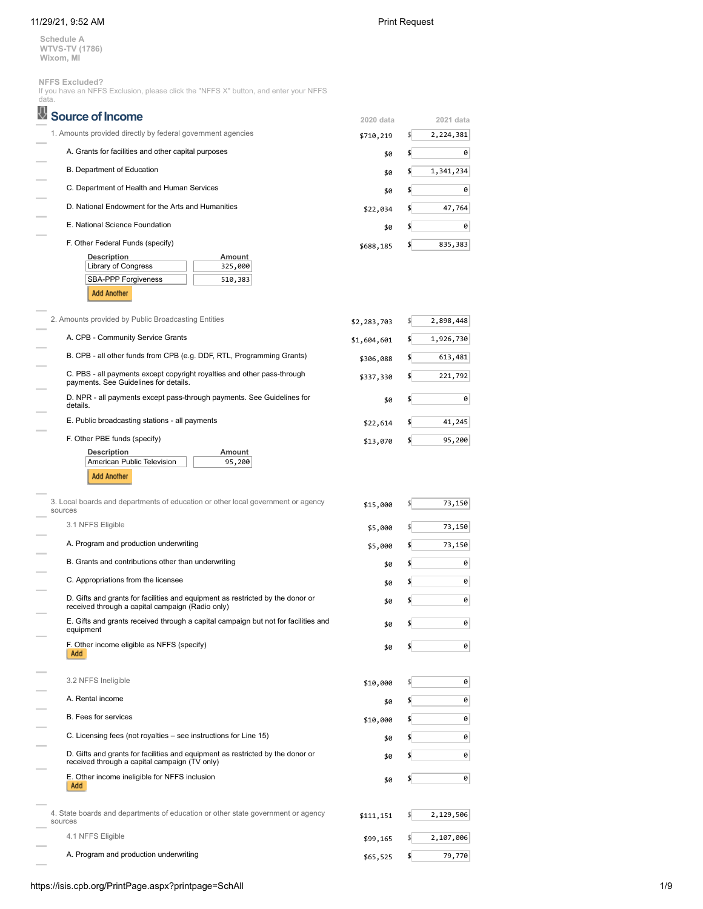**Schedule A WTVS-TV (1786) Wixom, MI**

**NFFS Excluded?**

If you have an NFFS Exclusion, please click the "NFFS X" button, and enter your NFFS data.

| Source of Income                                            |         | $2020$ data    | 2021 data |
|-------------------------------------------------------------|---------|----------------|-----------|
| 1. Amounts provided directly by federal government agencies |         | \$710,219      | 2,224,381 |
| A. Grants for facilities and other capital purposes         |         | \$0            | 0         |
| B. Department of Education                                  |         | \$0            | 1,341,234 |
| C. Department of Health and Human Services                  |         | \$0            | 0         |
| D. National Endowment for the Arts and Humanities           |         | \$22,034       | 47,764    |
| E. National Science Foundation                              |         | \$0            | 0         |
| F. Other Federal Funds (specify)                            |         | S<br>\$688,185 | 835,383   |
| <b>Description</b>                                          | Amount  |                |           |
| Library of Congress                                         | 325,000 |                |           |
| <b>SBA-PPP Forgiveness</b>                                  | 510,383 |                |           |
| <b>Add Another</b>                                          |         |                |           |

2. Amounts provided by Public Broadcasting Entities  $$2,283,703$   $$2,898,448$ A. CPB - Community Service Grants \$1,604,601 \$ 1,926,730 B. CPB - all other funds from CPB (e.g. DDF, RTL, Programming Grants)  $$306,088$   $$613,481$ C. PBS - all payments except copyright royalties and other pass-through 221, 792<br>payments. See Guidelines for details. D. NPR - all payments except pass-through payments. See Guidelines for details.  $$80$  \$ 0 E. Public broadcasting stations - all payments  $$22,614$   $$$   $$41,245$ F. Other PBE funds (specify) \$13,070 \$ 95,200

| <b>Description</b>         | Amount |
|----------------------------|--------|
| American Public Television | 95,200 |
| <b>Add Another</b>         |        |

| 3. Local boards and departments of education or other local government or agency<br>sources                                        | \$15,000  | \$<br>73,150    |
|------------------------------------------------------------------------------------------------------------------------------------|-----------|-----------------|
| 3.1 NFFS Eligible                                                                                                                  | \$5,000   | \$<br>73,150    |
| A. Program and production underwriting                                                                                             | \$5,000   | \$<br>73,150    |
| B. Grants and contributions other than underwriting                                                                                | \$0       | \$<br>0         |
| C. Appropriations from the licensee                                                                                                | \$0       | \$<br>0         |
| D. Gifts and grants for facilities and equipment as restricted by the donor or<br>received through a capital campaign (Radio only) | \$0       | \$<br>0         |
| E. Gifts and grants received through a capital campaign but not for facilities and<br>equipment                                    | \$0       | \$<br>0         |
| F. Other income eligible as NFFS (specify)<br>Add                                                                                  | \$0       | 0               |
| 3.2 NFFS Ineligible                                                                                                                | \$10,000  | \$<br>0         |
| A. Rental income                                                                                                                   | \$0       | \$<br>0         |
| <b>B.</b> Fees for services                                                                                                        | \$10,000  | \$<br>0         |
| C. Licensing fees (not royalties – see instructions for Line 15)                                                                   | \$0       | \$<br>0         |
| D. Gifts and grants for facilities and equipment as restricted by the donor or<br>received through a capital campaign (TV only)    | \$0       | \$<br>0         |
| E. Other income ineligible for NFFS inclusion<br>Add                                                                               | \$0       | \$<br>0         |
| 4. State boards and departments of education or other state government or agency<br>sources                                        | \$111,151 | \$<br>2,129,506 |
| 4.1 NFFS Eligible                                                                                                                  | \$99,165  | \$<br>2,107,006 |
| A. Program and production underwriting                                                                                             | \$65,525  | \$<br>79,770    |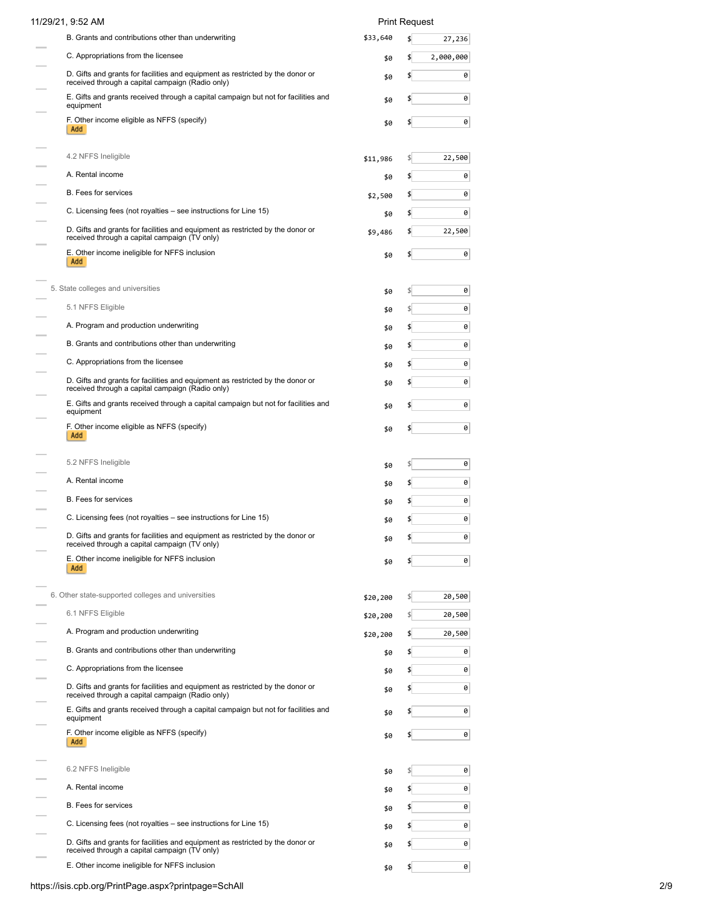| 11/29/21, 9:52 AM                                                                                                                  | <b>Print Request</b> |                 |
|------------------------------------------------------------------------------------------------------------------------------------|----------------------|-----------------|
| B. Grants and contributions other than underwriting                                                                                | \$33,640             | \$<br>27,236    |
| C. Appropriations from the licensee                                                                                                | \$0                  | \$<br>2,000,000 |
| D. Gifts and grants for facilities and equipment as restricted by the donor or<br>received through a capital campaign (Radio only) | \$0                  | 0<br>\$         |
| E. Gifts and grants received through a capital campaign but not for facilities and<br>equipment                                    | \$0                  | 0<br>\$         |
| F. Other income eligible as NFFS (specify)<br>Add                                                                                  | \$0                  | 0<br>\$         |
| 4.2 NFFS Ineligible                                                                                                                | \$11,986             | 22,500<br>\$    |
| A. Rental income                                                                                                                   | \$0                  | 0<br>\$         |
| <b>B.</b> Fees for services                                                                                                        | \$2,500              | \$<br>0         |
| C. Licensing fees (not royalties – see instructions for Line 15)                                                                   | \$0                  | 0<br>\$         |
| D. Gifts and grants for facilities and equipment as restricted by the donor or<br>received through a capital campaign (TV only)    | \$9,486              | 22,500<br>\$    |
| E. Other income ineligible for NFFS inclusion<br>Add                                                                               | \$0                  | 0<br>\$         |
| 5. State colleges and universities                                                                                                 | \$0                  | 0<br>\$         |
| 5.1 NFFS Eligible                                                                                                                  | \$0                  | 0<br>S          |
| A. Program and production underwriting                                                                                             | \$0                  | 0<br>\$         |
| B. Grants and contributions other than underwriting                                                                                | \$0                  | \$<br>0         |
| C. Appropriations from the licensee                                                                                                | \$0                  | 0<br>\$         |
| D. Gifts and grants for facilities and equipment as restricted by the donor or<br>received through a capital campaign (Radio only) | \$0                  | 0<br>\$         |
| E. Gifts and grants received through a capital campaign but not for facilities and<br>equipment                                    | \$0                  | 0               |
| F. Other income eligible as NFFS (specify)<br>Add                                                                                  | \$0                  | \$<br>0         |
| 5.2 NFFS Ineligible                                                                                                                | \$0                  | 0<br>\$         |
| A. Rental income                                                                                                                   | \$0                  | 0<br>\$         |
| B. Fees for services                                                                                                               | \$0                  | 0<br>\$         |
| C. Licensing fees (not royalties – see instructions for Line 15)                                                                   | \$0                  | 0<br>\$         |
| D. Gifts and grants for facilities and equipment as restricted by the donor or<br>received through a capital campaign (TV only)    | \$0                  | \$<br>0         |
| E. Other income ineligible for NFFS inclusion<br>Add                                                                               | \$0                  | 0               |
| 6. Other state-supported colleges and universities                                                                                 | \$20,200             | 20,500<br>\$    |
| 6.1 NFFS Eligible                                                                                                                  | \$20,200             | 20,500          |
| A. Program and production underwriting                                                                                             | \$20,200             | 20,500<br>\$    |
| B. Grants and contributions other than underwriting                                                                                | \$0                  | 0<br>\$         |
| C. Appropriations from the licensee                                                                                                | \$0                  | 0               |
| D. Gifts and grants for facilities and equipment as restricted by the donor or<br>received through a capital campaign (Radio only) | \$0                  | 0<br>\$         |
| E. Gifts and grants received through a capital campaign but not for facilities and<br>equipment                                    | \$0                  | 0               |
| F. Other income eligible as NFFS (specify)<br>Add                                                                                  | \$0                  | 0               |
| 6.2 NFFS Ineligible                                                                                                                | \$0                  | 0               |
| A. Rental income                                                                                                                   | \$0                  | 0<br>\$         |
| <b>B.</b> Fees for services                                                                                                        | \$0                  | 0               |
| C. Licensing fees (not royalties – see instructions for Line 15)                                                                   | \$0                  | 0<br>\$         |
| D. Gifts and grants for facilities and equipment as restricted by the donor or<br>received through a capital campaign (TV only)    | \$0                  | 0<br>\$         |
| E. Other income ineligible for NFFS inclusion                                                                                      | \$0                  | 0<br>\$         |

# https://isis.cpb.org/PrintPage.aspx?printpage=SchAll 2/9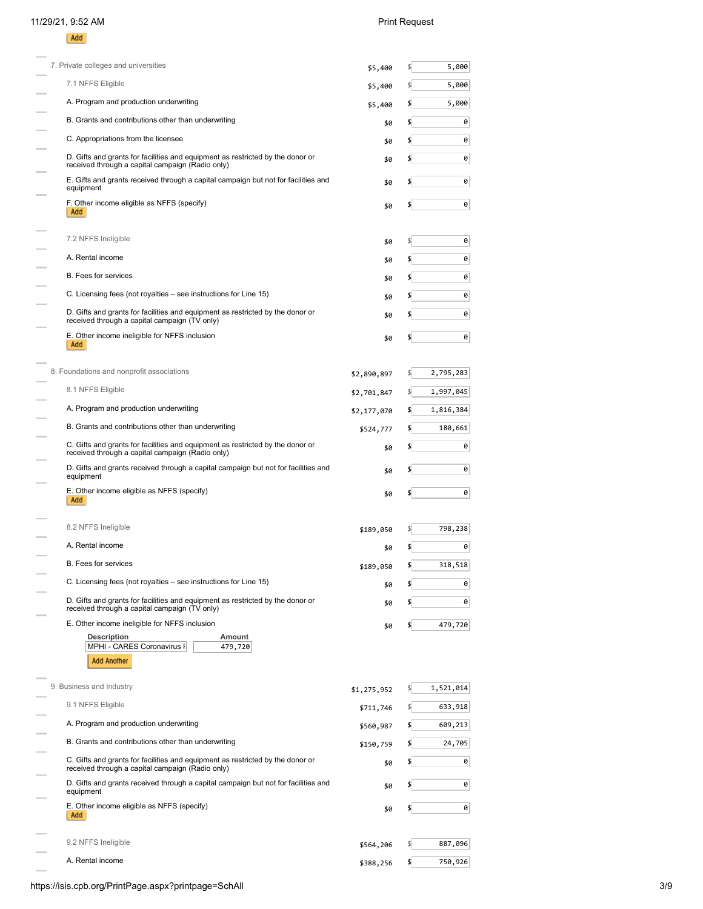| Add                                                                                                                                          |             |     |           |
|----------------------------------------------------------------------------------------------------------------------------------------------|-------------|-----|-----------|
| 7. Private colleges and universities                                                                                                         | \$5,400     |     | 5,000     |
| 7.1 NFFS Eligible                                                                                                                            | \$5,400     |     | 5,000     |
| A. Program and production underwriting                                                                                                       | \$5,400     |     | 5,000     |
| B. Grants and contributions other than underwriting                                                                                          | \$0         | \$  | 0         |
| C. Appropriations from the licensee                                                                                                          | \$0         | \$  | 0         |
| D. Gifts and grants for facilities and equipment as restricted by the donor or<br>received through a capital campaign (Radio only)           | \$0         | \$  | 0         |
| E. Gifts and grants received through a capital campaign but not for facilities and<br>equipment                                              | \$0         |     | 0         |
| F. Other income eligible as NFFS (specify)<br>Add                                                                                            | \$0         | \$  | 0         |
| 7.2 NFFS Ineligible                                                                                                                          | \$0         | \$  | 0         |
| A. Rental income                                                                                                                             | \$0         | \$  | 0         |
| B. Fees for services                                                                                                                         | \$0         | \$  | 0         |
| C. Licensing fees (not royalties – see instructions for Line 15)                                                                             | \$0         | \$  | 0         |
| D. Gifts and grants for facilities and equipment as restricted by the donor or<br>received through a capital campaign (TV only)              | \$0         | \$  | 0         |
| E. Other income ineligible for NFFS inclusion<br>Add                                                                                         | \$0         | \$  | 0         |
| 8. Foundations and nonprofit associations                                                                                                    | \$2,890,897 | \$  | 2,795,283 |
| 8.1 NFFS Eligible                                                                                                                            | \$2,701,847 | \$1 | 1,997,045 |
| A. Program and production underwriting                                                                                                       | \$2,177,070 | \$  | 1,816,384 |
| B. Grants and contributions other than underwriting                                                                                          | \$524,777   | \$  | 180,661   |
| C. Gifts and grants for facilities and equipment as restricted by the donor or<br>received through a capital campaign (Radio only)           | \$0         |     | 0         |
| D. Gifts and grants received through a capital campaign but not for facilities and<br>equipment                                              | \$0         |     | 0         |
| E. Other income eligible as NFFS (specify)<br>Add                                                                                            | \$0         |     | 0         |
| 8.2 NFFS Ineligible                                                                                                                          | \$189,050   |     | 798,238   |
| A. Rental income                                                                                                                             | \$0         |     | 0         |
| B. Fees for services                                                                                                                         | \$189,050   | \$  | 318,518   |
| C. Licensing fees (not royalties – see instructions for Line 15)                                                                             | \$0         | \$  | 0         |
| D. Gifts and grants for facilities and equipment as restricted by the donor or                                                               | \$0         | \$  | 0         |
| received through a capital campaign (TV only)                                                                                                |             |     |           |
| E. Other income ineligible for NFFS inclusion<br><b>Description</b><br>Amount<br>MPHI - CARES Coronavirus I<br>479,720<br><b>Add Another</b> | \$0         | \$  | 479,720   |
| 9. Business and Industry                                                                                                                     | \$1,275,952 | \$1 | 1,521,014 |
| 9.1 NFFS Eligible                                                                                                                            | \$711,746   |     | 633,918   |
| A. Program and production underwriting                                                                                                       | \$560,987   | \$  | 609,213   |
| B. Grants and contributions other than underwriting                                                                                          | \$150,759   | \$  | 24,705    |
| C. Gifts and grants for facilities and equipment as restricted by the donor or<br>received through a capital campaign (Radio only)           | \$0         | \$  | 0         |
| D. Gifts and grants received through a capital campaign but not for facilities and<br>equipment                                              | \$0         | S.  | 0         |
| E. Other income eligible as NFFS (specify)<br>Add                                                                                            | \$0         |     | 0         |
| 9.2 NFFS Ineligible                                                                                                                          | \$564,206   |     | 887,096   |
| A. Rental income                                                                                                                             | \$388,256   | \$  | 750,926   |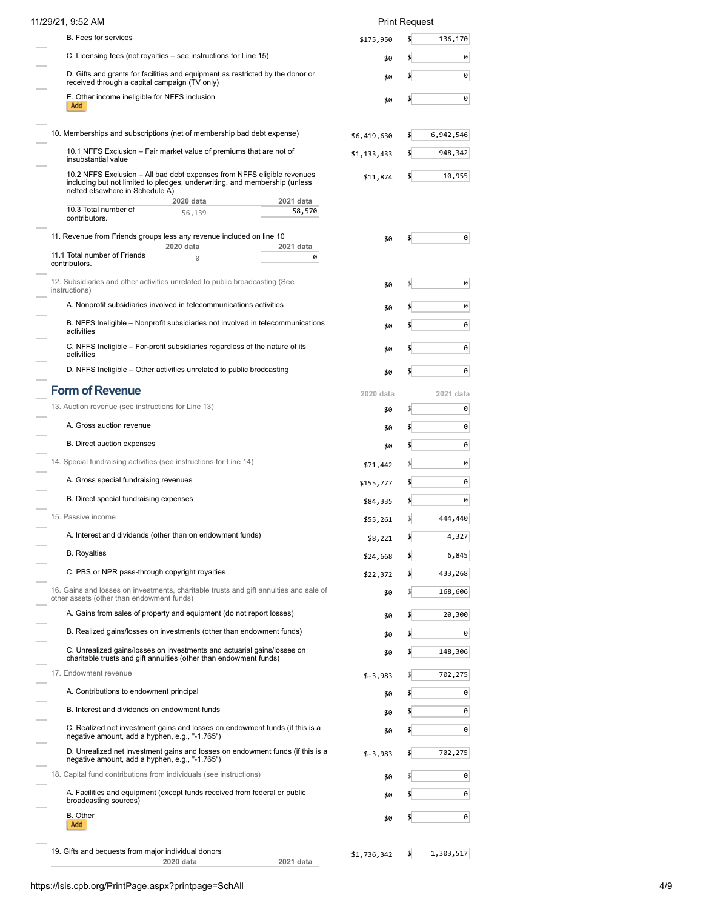| 11/29/21, 9:52 AM                                                                                                                                                                        |                |                     | <b>Print Request</b> |             |
|------------------------------------------------------------------------------------------------------------------------------------------------------------------------------------------|----------------|---------------------|----------------------|-------------|
| <b>B.</b> Fees for services                                                                                                                                                              |                |                     | \$175,950            | 136,170     |
| C. Licensing fees (not royalties - see instructions for Line 15)                                                                                                                         |                |                     | \$0                  | \$<br>0     |
| D. Gifts and grants for facilities and equipment as restricted by the donor or<br>received through a capital campaign (TV only)                                                          |                |                     | \$0                  | 0           |
| E. Other income ineligible for NFFS inclusion<br>Add                                                                                                                                     |                |                     | \$0                  | 0           |
|                                                                                                                                                                                          |                |                     |                      |             |
| 10. Memberships and subscriptions (net of membership bad debt expense)                                                                                                                   |                |                     | \$6,419,630          | 6,942,546   |
| 10.1 NFFS Exclusion - Fair market value of premiums that are not of<br>insubstantial value                                                                                               |                |                     | \$1,133,433          | 948,342     |
| 10.2 NFFS Exclusion - All bad debt expenses from NFFS eligible revenues<br>including but not limited to pledges, underwriting, and membership (unless<br>netted elsewhere in Schedule A) |                |                     | \$11,874             | 10,955      |
| 10.3 Total number of                                                                                                                                                                     | 2020 data      | 2021 data<br>58,570 |                      |             |
| contributors.                                                                                                                                                                            | 56,139         |                     |                      |             |
| 11. Revenue from Friends groups less any revenue included on line 10                                                                                                                     |                |                     | \$0                  | 0           |
| 11.1 Total number of Friends<br>contributors.                                                                                                                                            | 2020 data<br>Ø | 2021 data<br>0      |                      |             |
| 12. Subsidiaries and other activities unrelated to public broadcasting (See                                                                                                              |                |                     | \$0                  | 0           |
| instructions)<br>A. Nonprofit subsidiaries involved in telecommunications activities                                                                                                     |                |                     |                      |             |
| B. NFFS Ineligible – Nonprofit subsidiaries not involved in telecommunications                                                                                                           |                |                     | \$0                  | 0           |
| activities                                                                                                                                                                               |                |                     | \$0                  | 0           |
| C. NFFS Ineligible - For-profit subsidiaries regardless of the nature of its<br>activities                                                                                               |                |                     | \$0                  | 0           |
| D. NFFS Ineligible - Other activities unrelated to public brodcasting                                                                                                                    |                |                     | \$0                  | 0           |
| <b>Form of Revenue</b>                                                                                                                                                                   |                |                     | 2020 data            | 2021 data   |
| 13. Auction revenue (see instructions for Line 13)                                                                                                                                       |                |                     | \$0                  | 0           |
| A. Gross auction revenue                                                                                                                                                                 |                |                     | \$0                  | \$<br>0     |
| <b>B.</b> Direct auction expenses                                                                                                                                                        |                |                     | \$0                  | 0           |
| 14. Special fundraising activities (see instructions for Line 14)                                                                                                                        |                |                     | \$71,442             | 0           |
| A. Gross special fundraising revenues                                                                                                                                                    |                |                     | \$155,777            | \$<br>0     |
| B. Direct special fundraising expenses                                                                                                                                                   |                |                     | \$84,335             | 0           |
| 15. Passive income                                                                                                                                                                       |                |                     | \$55,261             | 444,440     |
| A. Interest and dividends (other than on endowment funds)                                                                                                                                |                |                     | \$8,221              | \$<br>4,327 |
| <b>B.</b> Royalties                                                                                                                                                                      |                |                     | \$24,668             | 6,845       |
| C. PBS or NPR pass-through copyright royalties                                                                                                                                           |                |                     | \$22,372             | 433,268     |
| 16. Gains and losses on investments, charitable trusts and gift annuities and sale of<br>other assets (other than endowment funds)                                                       |                |                     | \$0                  | 168,606     |
| A. Gains from sales of property and equipment (do not report losses)                                                                                                                     |                |                     | \$0                  | 20,300      |
| B. Realized gains/losses on investments (other than endowment funds)                                                                                                                     |                |                     | \$0                  | \$<br>0     |
| C. Unrealized gains/losses on investments and actuarial gains/losses on<br>charitable trusts and gift annuities (other than endowment funds)                                             |                |                     | \$0                  | 148,306     |
| 17. Endowment revenue                                                                                                                                                                    |                |                     | $$-3,983$            | 702,275     |
| A. Contributions to endowment principal                                                                                                                                                  |                |                     | \$0                  | 0           |
| B. Interest and dividends on endowment funds                                                                                                                                             |                |                     | \$0                  | 0           |
| C. Realized net investment gains and losses on endowment funds (if this is a<br>negative amount, add a hyphen, e.g., "-1,765")                                                           |                |                     | \$0                  | 0           |
| D. Unrealized net investment gains and losses on endowment funds (if this is a<br>negative amount, add a hyphen, e.g., "-1,765")                                                         |                |                     | $$-3,983$            | 702,275     |
| 18. Capital fund contributions from individuals (see instructions)                                                                                                                       |                |                     | \$0                  | 0           |
| A. Facilities and equipment (except funds received from federal or public<br>broadcasting sources)                                                                                       |                |                     | \$0                  | 0           |
| B. Other<br>Add                                                                                                                                                                          |                |                     | \$0                  | 0           |
| 19. Gifts and bequests from major individual donors                                                                                                                                      | 2020 data      | 2021 data           | \$1,736,342          | 1,303,517   |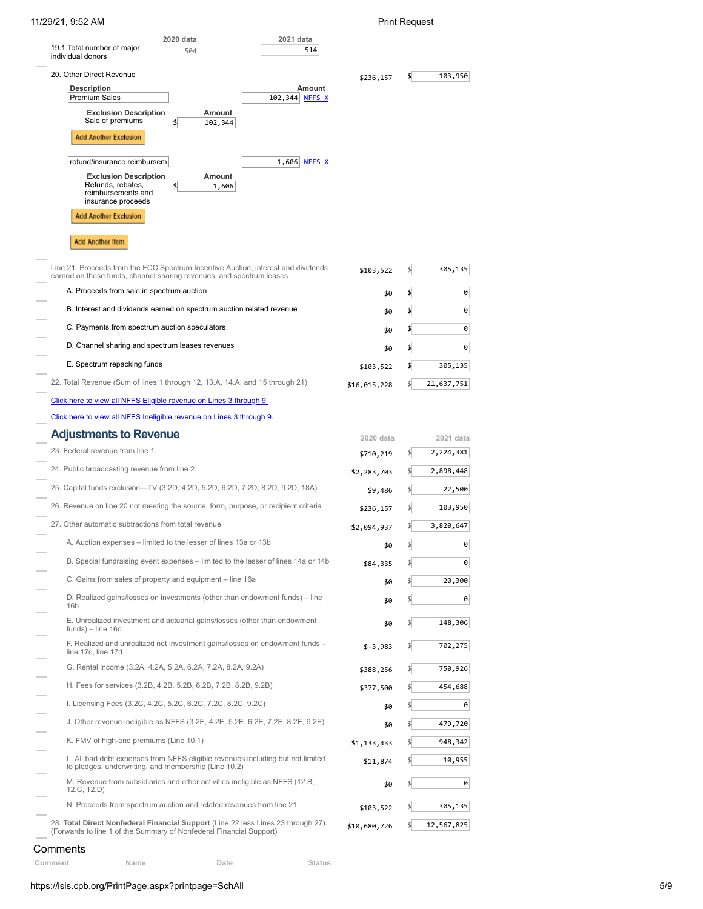| 2020 data<br>2021 data<br>19.1 Total number of major<br>514<br>504<br>individual donors                                                                   |              |                   |
|-----------------------------------------------------------------------------------------------------------------------------------------------------------|--------------|-------------------|
| 20. Other Direct Revenue                                                                                                                                  | \$236,157    | 103,950<br>\$     |
| <b>Description</b><br><b>Amount</b>                                                                                                                       |              |                   |
| <b>Premium Sales</b><br>102,344 NFFS X<br><b>Exclusion Description</b><br>Amount                                                                          |              |                   |
| Sale of premiums<br>102,344<br><b>Add Another Exclusion</b>                                                                                               |              |                   |
| refund/insurance reimbursem<br>1,606 NFFS X                                                                                                               |              |                   |
| Amount<br><b>Exclusion Description</b><br>Refunds, rebates,<br>\$<br>1,606<br>reimbursements and<br>insurance proceeds                                    |              |                   |
| <b>Add Another Exclusion</b>                                                                                                                              |              |                   |
| Add Another Item                                                                                                                                          |              |                   |
| Line 21. Proceeds from the FCC Spectrum Incentive Auction, interest and dividends<br>earned on these funds, channel sharing revenues, and spectrum leases | \$103,522    | \$ <br>305,135    |
| A. Proceeds from sale in spectrum auction                                                                                                                 | \$0          | \$<br>0           |
| B. Interest and dividends earned on spectrum auction related revenue                                                                                      | \$0          | \$<br>0           |
| C. Payments from spectrum auction speculators                                                                                                             | \$0          | \$<br>0           |
| D. Channel sharing and spectrum leases revenues                                                                                                           | \$0          | \$<br>0           |
| E. Spectrum repacking funds                                                                                                                               | \$103,522    | \$<br>305,135     |
| 22. Total Revenue (Sum of lines 1 through 12, 13.A, 14.A, and 15 through 21)                                                                              | \$16,015,228 | \$ <br>21,637,751 |
| Click here to view all NFFS Eligible revenue on Lines 3 through 9.                                                                                        |              |                   |
| Click here to view all NFFS Ineligible revenue on Lines 3 through 9.                                                                                      |              |                   |
| <b>Adjustments to Revenue</b>                                                                                                                             | 2020 data    | 2021 data         |
| 23. Federal revenue from line 1.                                                                                                                          | \$710,219    | 2,224,381         |
| 24. Public broadcasting revenue from line 2.                                                                                                              | \$2,283,703  | 2,898,448         |
| 25. Capital funds exclusion—TV (3.2D, 4.2D, 5.2D, 6.2D, 7.2D, 8.2D, 9.2D, 18A)                                                                            | \$9,486      | 22,500            |
| 26. Revenue on line 20 not meeting the source, form, purpose, or recipient criteria                                                                       | \$236,157    | \$<br>103,950     |
| 27. Other automatic subtractions from total revenue                                                                                                       | \$2,094,937  | 3,820,647         |
| A. Auction expenses - limited to the lesser of lines 13a or 13b                                                                                           | \$0          | \$<br>0           |
| B. Special fundraising event expenses – limited to the lesser of lines 14a or 14b                                                                         | \$84,335     | \$<br>0           |
| C. Gains from sales of property and equipment - line 16a                                                                                                  | \$0          | \$ <br>20,300     |
| D. Realized gains/losses on investments (other than endowment funds) – line<br>16b                                                                        | \$0          | \$ <br>0          |
| E. Unrealized investment and actuarial gains/losses (other than endowment<br>$funds$ ) – line 16c                                                         | \$0          | 148,306           |
| F. Realized and unrealized net investment gains/losses on endowment funds -<br>line 17c, line 17d                                                         | $$-3,983$    | \$<br>702,275     |
| G. Rental income (3.2A, 4.2A, 5.2A, 6.2A, 7.2A, 8.2A, 9.2A)                                                                                               | \$388,256    | \$ <br>750,926    |
| H. Fees for services (3.2B, 4.2B, 5.2B, 6.2B, 7.2B, 8.2B, 9.2B)                                                                                           | \$377,500    | \$<br>454,688     |
| I. Licensing Fees (3.2C, 4.2C, 5.2C, 6.2C, 7.2C, 8.2C, 9.2C)                                                                                              | \$0          | \$<br>0           |
| J. Other revenue ineligible as NFFS (3.2E, 4.2E, 5.2E, 6.2E, 7.2E, 8.2E, 9.2E)                                                                            | \$0          | \$ <br>479,720    |
| K. FMV of high-end premiums (Line 10.1)                                                                                                                   | \$1,133,433  | \$ <br>948,342    |
| L. All bad debt expenses from NFFS eligible revenues including but not limited<br>to pledges, underwriting, and membership (Line 10.2)                    | \$11,874     | 10,955<br>\$      |
| M. Revenue from subsidiaries and other activities ineligible as NFFS (12.B,<br>12.C, 12.D)                                                                | \$0          | \$<br>0           |
| N. Proceeds from spectrum auction and related revenues from line 21.                                                                                      | \$103,522    | 305,135           |
| 28. Total Direct Nonfederal Financial Support (Line 22 less Lines 23 through 27).<br>(Forwards to line 1 of the Summary of Nonfederal Financial Support)  | \$10,680,726 | \$<br>12,567,825  |

## Comments

**Comment Name Date Status**

## https://isis.cpb.org/PrintPage.aspx?printpage=SchAll 5/9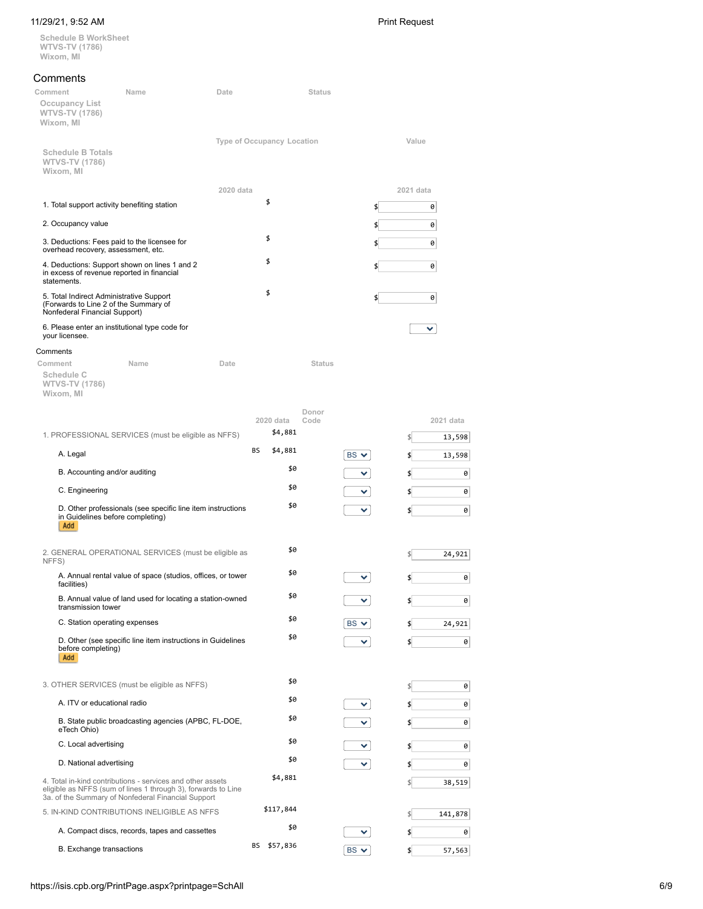|                       | <b>Schedule B WorkSheet</b> |
|-----------------------|-----------------------------|
| <b>WTVS-TV (1786)</b> |                             |
| Wixom MI              |                             |

| Wixom, MI                                                                                                          |                                                                                                                                                                                   |           |                            |               |              |              |
|--------------------------------------------------------------------------------------------------------------------|-----------------------------------------------------------------------------------------------------------------------------------------------------------------------------------|-----------|----------------------------|---------------|--------------|--------------|
| Comments                                                                                                           |                                                                                                                                                                                   |           |                            |               |              |              |
| Comment<br>Occupancy List<br><b>WTVS-TV (1786)</b><br>Wixom, MI                                                    | Name                                                                                                                                                                              | Date      |                            | <b>Status</b> |              |              |
| <b>Schedule B Totals</b><br><b>WTVS-TV (1786)</b>                                                                  |                                                                                                                                                                                   |           | Type of Occupancy Location |               |              | Value        |
| Wixom, MI                                                                                                          |                                                                                                                                                                                   |           |                            |               |              |              |
|                                                                                                                    |                                                                                                                                                                                   | 2020 data |                            |               |              | 2021 data    |
| 1. Total support activity benefiting station                                                                       |                                                                                                                                                                                   |           | \$                         |               | \$           | 0            |
| 2. Occupancy value                                                                                                 |                                                                                                                                                                                   |           |                            |               | \$           | 0            |
| 3. Deductions: Fees paid to the licensee for<br>overhead recovery, assessment, etc.                                |                                                                                                                                                                                   |           | \$                         |               | \$           | 0            |
| in excess of revenue reported in financial<br>statements.                                                          | 4. Deductions: Support shown on lines 1 and 2                                                                                                                                     |           | \$                         |               | \$           | 0            |
| 5. Total Indirect Administrative Support<br>(Forwards to Line 2 of the Summary of<br>Nonfederal Financial Support) |                                                                                                                                                                                   |           | \$                         |               | \$           | 0            |
| 6. Please enter an institutional type code for<br>your licensee.                                                   |                                                                                                                                                                                   |           |                            |               |              | $\checkmark$ |
| Comments                                                                                                           |                                                                                                                                                                                   |           |                            |               |              |              |
| Comment<br>Schedule C<br><b>WTVS-TV (1786)</b><br>Wixom, MI                                                        | Name                                                                                                                                                                              | Date      |                            | <b>Status</b> |              |              |
|                                                                                                                    | 1. PROFESSIONAL SERVICES (must be eligible as NFFS)                                                                                                                               |           | 2020 data<br>\$4,881       | Donor<br>Code |              | 2021 data    |
|                                                                                                                    |                                                                                                                                                                                   |           | BS<br>\$4,881              |               |              | 13,598<br>\$ |
| A. Legal                                                                                                           |                                                                                                                                                                                   |           | \$0                        |               | $BS \vee$    | \$<br>13,598 |
| B. Accounting and/or auditing                                                                                      |                                                                                                                                                                                   |           |                            |               | $\checkmark$ | \$<br>0      |
| C. Engineering                                                                                                     |                                                                                                                                                                                   |           | \$0                        |               | $\checkmark$ | \$<br>0      |
| in Guidelines before completing)<br>Add                                                                            | D. Other professionals (see specific line item instructions                                                                                                                       |           | \$0                        |               | v            | \$<br>0      |
| NFFS)                                                                                                              | 2. GENERAL OPERATIONAL SERVICES (must be eligible as                                                                                                                              |           | \$0                        |               |              | 24,921<br>\$ |
| facilities)                                                                                                        | A. Annual rental value of space (studios, offices, or tower                                                                                                                       |           | \$0                        |               | $\checkmark$ | 0<br>\$      |
| transmission tower                                                                                                 | B. Annual value of land used for locating a station-owned                                                                                                                         |           | \$0                        |               | ◡            | 0<br>\$      |
| C. Station operating expenses                                                                                      |                                                                                                                                                                                   |           | \$0                        |               | BS V         | 24,921<br>\$ |
| before completing)<br>Add                                                                                          | D. Other (see specific line item instructions in Guidelines                                                                                                                       |           | \$0                        |               | $\checkmark$ | \$<br>0      |
|                                                                                                                    | 3. OTHER SERVICES (must be eligible as NFFS)                                                                                                                                      |           | \$0                        |               |              | \$<br>0      |
| A. ITV or educational radio                                                                                        |                                                                                                                                                                                   |           | \$0                        |               | ▿            | 0<br>\$      |
| eTech Ohio)                                                                                                        | B. State public broadcasting agencies (APBC, FL-DOE,                                                                                                                              |           | \$0                        |               | $\checkmark$ | \$<br>0      |
| C. Local advertising                                                                                               |                                                                                                                                                                                   |           | \$0                        |               | ◡            | 0<br>\$      |
| D. National advertising                                                                                            |                                                                                                                                                                                   |           | \$0                        |               | ▽            | \$<br>0      |
|                                                                                                                    | 4. Total in-kind contributions - services and other assets<br>eligible as NFFS (sum of lines 1 through 3), forwards to Line<br>3a. of the Summary of Nonfederal Financial Support |           | \$4,881                    |               |              | 38,519<br>\$ |

5. IN-KIND CONTRIBUTIONS INELIGIBLE AS NFFS  $$117,844$   $$117,1878$ A. Compact discs, records, tapes and cassettes  $\begin{array}{c} \text{ $>$\varnothing$} \end{array}$   $\begin{array}{c} \text{ $>$\varnothing$} \end{array}$   $\begin{array}{c} \text{ $>$\varnothing$} \end{array}$ B. Exchange transactions BS \$57,836 BS  $\sqrt{BS}$  \$ 57,563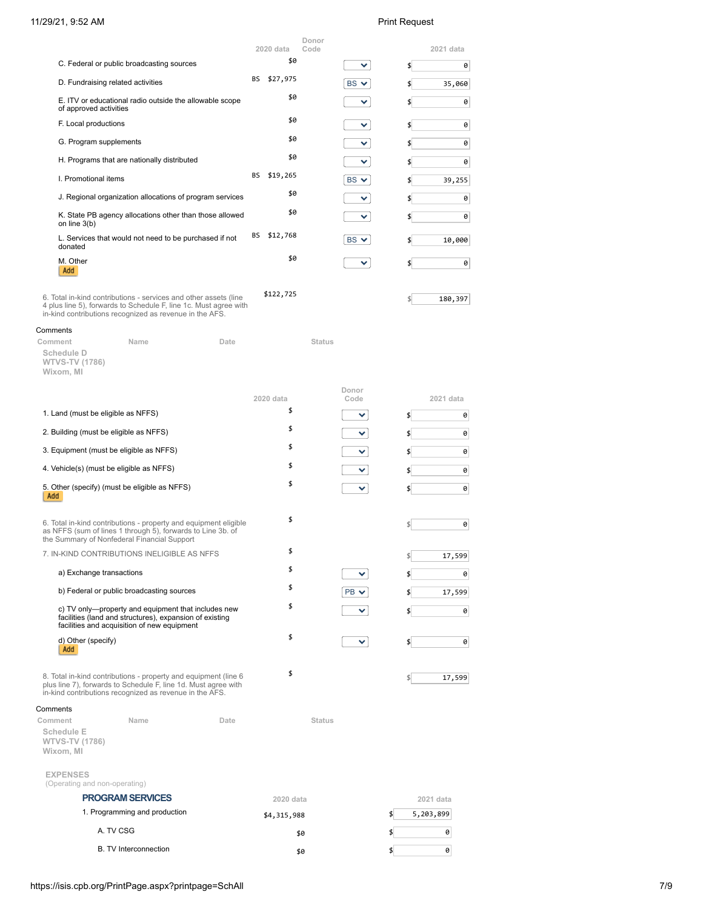| 11/29/21, 9:52 AM                                                                                                                                                                               |                |               | <b>Print Request</b> |
|-------------------------------------------------------------------------------------------------------------------------------------------------------------------------------------------------|----------------|---------------|----------------------|
|                                                                                                                                                                                                 | 2020 data      | Donor<br>Code | 2021 data            |
| C. Federal or public broadcasting sources                                                                                                                                                       | \$0            | ⌄             | \$<br>0              |
| D. Fundraising related activities                                                                                                                                                               | BS \$27,975    | BS V          | \$<br>35,060         |
| E. ITV or educational radio outside the allowable scope<br>of approved activities                                                                                                               | \$0            | ▽             | \$<br>0              |
| F. Local productions                                                                                                                                                                            | \$0            | ×.            | \$<br>0              |
| G. Program supplements                                                                                                                                                                          | \$0            | ✓             | \$<br>0              |
| H. Programs that are nationally distributed                                                                                                                                                     | \$0            | ×.            | \$<br>0              |
| I. Promotional items                                                                                                                                                                            | BS \$19,265    | $BS \vee$     | \$<br>39,255         |
| J. Regional organization allocations of program services                                                                                                                                        | \$0            | $\checkmark$  | \$<br>0              |
| K. State PB agency allocations other than those allowed<br>on line 3(b)                                                                                                                         | \$0            | v.            | \$<br>0              |
| L. Services that would not need to be purchased if not<br>donated                                                                                                                               | BS<br>\$12,768 | $BS \vee$     | \$<br>10,000         |
| M. Other<br>Add                                                                                                                                                                                 | \$0            | ⊻             | \$<br>0              |
| 6. Total in-kind contributions - services and other assets (line<br>4 plus line 5), forwards to Schedule F, line 1c. Must agree with<br>in-kind contributions recognized as revenue in the AFS. | \$122,725      |               | \$<br>180,397        |
| Comments                                                                                                                                                                                        |                |               |                      |
| Comment<br>Name<br>Date<br>Schedule D<br><b>WTVS-TV (1786)</b><br>Wixom, MI                                                                                                                     |                | <b>Status</b> |                      |
|                                                                                                                                                                                                 | 2020 data      | Donor<br>Code | 2021 data            |
| 1. Land (must be eligible as NFFS)                                                                                                                                                              | \$             | ⌄             | \$<br>0              |
| 2. Building (must be eligible as NFFS)                                                                                                                                                          | \$             | $\checkmark$  | \$<br>0              |
| 3. Equipment (must be eligible as NFFS)                                                                                                                                                         | \$             |               |                      |
|                                                                                                                                                                                                 | \$             | $\checkmark$  | 0<br>\$              |
| 4. Vehicle(s) (must be eligible as NFFS)                                                                                                                                                        | \$             | $\checkmark$  | \$<br>0              |
| 5. Other (specify) (must be eligible as NFFS)<br>Add                                                                                                                                            |                | $\checkmark$  | \$<br>0              |
| 6. Total in-kind contributions - property and equipment eligible<br>as NFFS (sum of lines 1 through 5), forwards to Line 3b. of<br>the Summary of Nonfederal Financial Support                  | \$             |               | \$<br>0              |
| 7. IN-KIND CONTRIBUTIONS INELIGIBLE AS NFFS                                                                                                                                                     | \$             |               | 17,599               |
| a) Exchange transactions                                                                                                                                                                        | \$             | ◡             | \$<br>0              |
| b) Federal or public broadcasting sources                                                                                                                                                       | \$             | $PB \vee$     | \$<br>17,599         |
| c) TV only—property and equipment that includes new<br>facilities (land and structures), expansion of existing                                                                                  | \$             | ◡             | 0<br>\$              |
| facilities and acquisition of new equipment<br>d) Other (specify)                                                                                                                               | \$             | ◡             | \$                   |
| Add                                                                                                                                                                                             |                |               | 0                    |
| 8. Total in-kind contributions - property and equipment (line 6<br>plus line 7), forwards to Schedule F, line 1d. Must agree with<br>in-kind contributions recognized as revenue in the AFS.    | \$             |               | 17,599               |
| Comments                                                                                                                                                                                        |                |               |                      |
| Comment<br>Name<br>Date<br>Schedule E<br><b>WTVS-TV (1786)</b><br>Wixom, MI                                                                                                                     |                | <b>Status</b> |                      |
| <b>EXPENSES</b><br>(Operating and non-operating)                                                                                                                                                |                |               |                      |
| <b>PROGRAM SERVICES</b>                                                                                                                                                                         | 2020 data      |               | 2021 data            |
| 1. Programming and production                                                                                                                                                                   | \$4,315,988    |               | 5,203,899            |
| A. TV CSG                                                                                                                                                                                       |                | \$0           | 0                    |
| <b>B.</b> TV Interconnection                                                                                                                                                                    |                | \$0           | 0<br>\$              |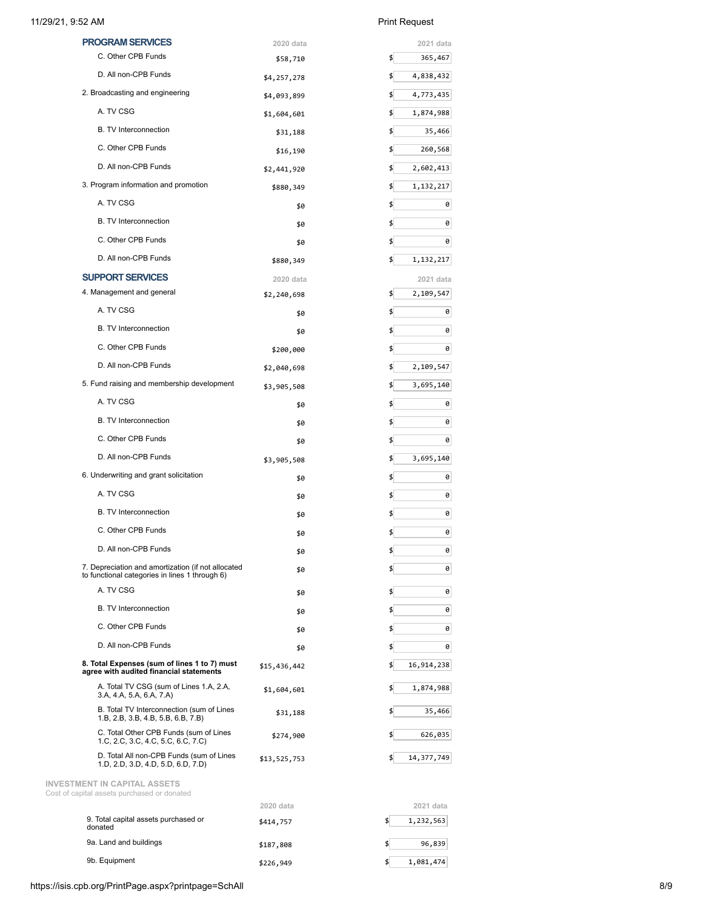| <b>PROGRAM SERVICES</b>                                                                              | 2020 data    | 2021 data       |
|------------------------------------------------------------------------------------------------------|--------------|-----------------|
| C. Other CPB Funds                                                                                   | \$58,710     | \$<br>365,467   |
| D. All non-CPB Funds                                                                                 | \$4,257,278  | \$<br>4,838,432 |
| 2. Broadcasting and engineering                                                                      | \$4,093,899  | \$<br>4,773,435 |
| A. TV CSG                                                                                            | \$1,604,601  | \$<br>1,874,988 |
| <b>B.</b> TV Interconnection                                                                         | \$31,188     | 35,466<br>\$    |
| C. Other CPB Funds                                                                                   | \$16,190     | \$<br>260,568   |
| D. All non-CPB Funds                                                                                 | \$2,441,920  | 2,602,413       |
| 3. Program information and promotion                                                                 | \$880,349    | 1,132,217<br>\$ |
| A. TV CSG                                                                                            | \$0          | \$<br>0         |
| B. TV Interconnection                                                                                | \$0          | \$<br>0         |
| C. Other CPB Funds                                                                                   | \$0          | \$<br>0         |
| D. All non-CPB Funds                                                                                 | \$880,349    | \$<br>1,132,217 |
| <b>SUPPORT SERVICES</b>                                                                              | 2020 data    | 2021 data       |
| 4. Management and general                                                                            | \$2,240,698  | \$<br>2,109,547 |
| A. TV CSG                                                                                            | \$0          | \$<br>0         |
| B. TV Interconnection                                                                                | \$0          | \$<br>0         |
| C. Other CPB Funds                                                                                   | \$200,000    | \$<br>0         |
| D. All non-CPB Funds                                                                                 | \$2,040,698  | \$<br>2,109,547 |
| 5. Fund raising and membership development                                                           | \$3,905,508  | \$<br>3,695,140 |
| A. TV CSG                                                                                            | \$0          | \$<br>0         |
| B. TV Interconnection                                                                                | \$0          | \$<br>0         |
| C. Other CPB Funds                                                                                   | \$0          | \$<br>0         |
| D. All non-CPB Funds                                                                                 | \$3,905,508  | 3,695,140       |
| 6. Underwriting and grant solicitation                                                               | \$0          | \$<br>0         |
| A. TV CSG                                                                                            | \$0          | \$<br>0         |
| B. TV Interconnection                                                                                | \$0          | 0<br>\$         |
| C. Other CPB Funds                                                                                   | \$0          | \$<br>0         |
| D. All non-CPB Funds                                                                                 | \$0          | \$<br>$\theta$  |
| 7. Depreciation and amortization (if not allocated<br>to functional categories in lines 1 through 6) | \$0          | \$<br>0         |
| A. TV CSG                                                                                            | \$0          | 0<br>\$         |
| <b>B.</b> TV Interconnection                                                                         | \$0          | 0               |
| C. Other CPB Funds                                                                                   | \$0          | \$<br>0         |
| D. All non-CPB Funds                                                                                 | \$0          | 0               |
| 8. Total Expenses (sum of lines 1 to 7) must<br>agree with audited financial statements              | \$15,436,442 | 16,914,238      |
| A. Total TV CSG (sum of Lines 1.A, 2.A,<br>3.A, 4.A, 5.A, 6.A, 7.A)                                  | \$1,604,601  | 1,874,988       |
| B. Total TV Interconnection (sum of Lines<br>1.B, 2.B, 3.B, 4.B, 5.B, 6.B, 7.B)                      | \$31,188     | 35,466          |
| C. Total Other CPB Funds (sum of Lines<br>1.C, 2.C, 3.C, 4.C, 5.C, 6.C, 7.C)                         | \$274,900    | 626,035         |
| D. Total All non-CPB Funds (sum of Lines<br>1.D, 2.D, 3.D, 4.D, 5.D, 6.D, 7.D)                       | \$13,525,753 | 14, 377, 749    |
| <b>INVESTMENT IN CAPITAL ASSETS</b><br>Cost of capital assets purchased or donated                   |              |                 |
| 9. Total capital assets purchased or                                                                 | 2020 data    | 2021 data       |
| donated                                                                                              | \$414,757    | \$<br>1,232,563 |
| 9a. Land and buildings                                                                               | \$187,808    | \$<br>96,839    |
| 9b. Equipment                                                                                        | \$226,949    | \$<br>1,081,474 |